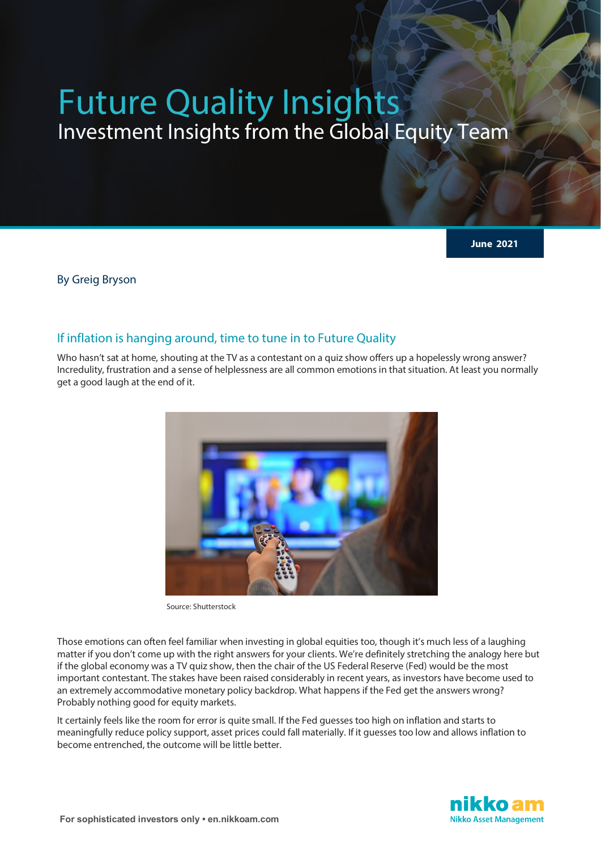# Future Quality Insights Investment Insights from the Global Equity Team

**June 2021**

By Greig Bryson

### If inflation is hanging around, time to tune in to Future Quality

Who hasn't sat at home, shouting at the TV as a contestant on a quiz show offers up a hopelessly wrong answer? Incredulity, frustration and a sense of helplessness are all common emotions in that situation. At least you normally get a good laugh at the end of it.



Source: Shutterstock

Those emotions can often feel familiar when investing in global equities too, though it's much less of a laughing matter if you don't come up with the right answers for your clients. We're definitely stretching the analogy here but if the global economy was a TV quiz show, then the chair of the US Federal Reserve (Fed) would be the most important contestant. The stakes have been raised considerably in recent years, as investors have become used to an extremely accommodative monetary policy backdrop. What happens if the Fed get the answers wrong? Probably nothing good for equity markets.

It certainly feels like the room for error is quite small. If the Fed guesses too high on inflation and starts to meaningfully reduce policy support, asset prices could fall materially. If it guesses too low and allows inflation to become entrenched, the outcome will be little better.

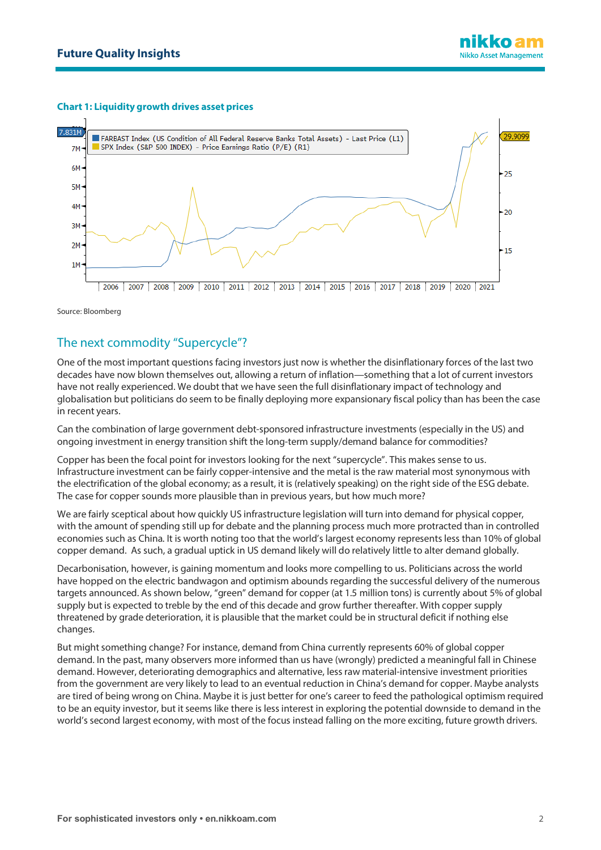### **Chart 1: Liquidity growth drives asset prices**



Source: Bloomberg

## The next commodity "Supercycle"?

One of the most important questions facing investors just now is whether the disinflationary forces of the last two decades have now blown themselves out, allowing a return of inflation—something that a lot of current investors have not really experienced. We doubt that we have seen the full disinflationary impact of technology and globalisation but politicians do seem to be finally deploying more expansionary fiscal policy than has been the case in recent years.

Can the combination of large government debt-sponsored infrastructure investments (especially in the US) and ongoing investment in energy transition shift the long-term supply/demand balance for commodities?

Copper has been the focal point for investors looking for the next "supercycle". This makes sense to us. Infrastructure investment can be fairly copper-intensive and the metal is the raw material most synonymous with the electrification of the global economy; as a result, it is (relatively speaking) on the right side of the ESG debate. The case for copper sounds more plausible than in previous years, but how much more?

We are fairly sceptical about how quickly US infrastructure legislation will turn into demand for physical copper, with the amount of spending still up for debate and the planning process much more protracted than in controlled economies such as China. It is worth noting too that the world's largest economy represents less than 10% of global copper demand. As such, a gradual uptick in US demand likely will do relatively little to alter demand globally.

Decarbonisation, however, is gaining momentum and looks more compelling to us. Politicians across the world have hopped on the electric bandwagon and optimism abounds regarding the successful delivery of the numerous targets announced. As shown below, "green" demand for copper (at 1.5 million tons) is currently about 5% of global supply but is expected to treble by the end of this decade and grow further thereafter. With copper supply threatened by grade deterioration, it is plausible that the market could be in structural deficit if nothing else changes.

But might something change? For instance, demand from China currently represents 60% of global copper demand. In the past, many observers more informed than us have (wrongly) predicted a meaningful fall in Chinese demand. However, deteriorating demographics and alternative, less raw material-intensive investment priorities from the government are very likely to lead to an eventual reduction in China's demand for copper. Maybe analysts are tired of being wrong on China. Maybe it is just better for one's career to feed the pathological optimism required to be an equity investor, but it seems like there is less interest in exploring the potential downside to demand in the world's second largest economy, with most of the focus instead falling on the more exciting, future growth drivers.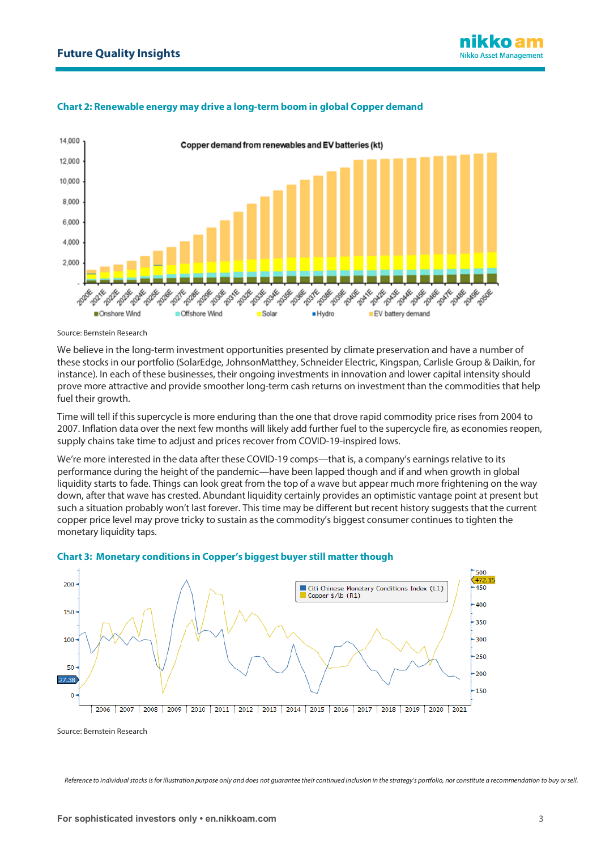### **Chart 2: Renewable energy may drive a long-term boom in global Copper demand**



Source: Bernstein Research

We believe in the long-term investment opportunities presented by climate preservation and have a number of these stocks in our portfolio (SolarEdge, JohnsonMatthey, Schneider Electric, Kingspan, Carlisle Group & Daikin, for instance). In each of these businesses, their ongoing investments in innovation and lower capital intensity should prove more attractive and provide smoother long-term cash returns on investment than the commodities that help fuel their growth.

Time will tell if this supercycle is more enduring than the one that drove rapid commodity price rises from 2004 to 2007. Inflation data over the next few months will likely add further fuel to the supercycle fire, as economies reopen, supply chains take time to adjust and prices recover from COVID-19-inspired lows.

We're more interested in the data after these COVID-19 comps—that is, a company's earnings relative to its performance during the height of the pandemic—have been lapped though and if and when growth in global liquidity starts to fade. Things can look great from the top of a wave but appear much more frightening on the way down, after that wave has crested. Abundant liquidity certainly provides an optimistic vantage point at present but such a situation probably won't last forever. This time may be different but recent history suggests that the current copper price level may prove tricky to sustain as the commodity's biggest consumer continues to tighten the monetary liquidity taps.



### **Chart 3: Monetary conditions in Copper's biggest buyer still matter though**

Source: Bernstein Research

*Reference to individual stocks is for illustration purpose only and does not guarantee their continued inclusion in the strategy's portfolio, nor constitute a recommendation to buy or sell.*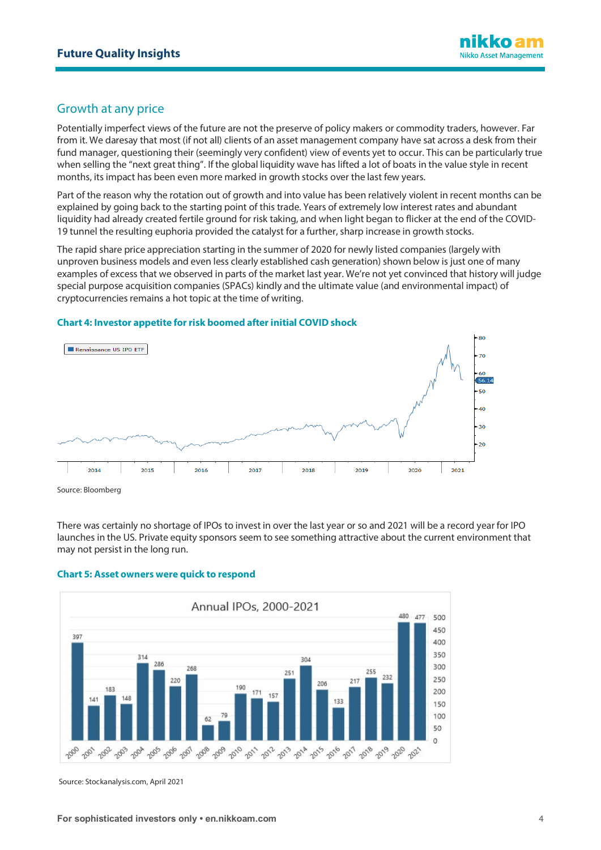# Growth at any price

Potentially imperfect views of the future are not the preserve of policy makers or commodity traders, however. Far from it. We daresay that most (if not all) clients of an asset management company have sat across a desk from their fund manager, questioning their (seemingly very confident) view of events yet to occur. This can be particularly true when selling the "next great thing". If the global liquidity wave has lifted a lot of boats in the value style in recent months, its impact has been even more marked in growth stocks over the last few years.

Part of the reason why the rotation out of growth and into value has been relatively violent in recent months can be explained by going back to the starting point of this trade. Years of extremely low interest rates and abundant liquidity had already created fertile ground for risk taking, and when light began to flicker at the end of the COVID-19 tunnel the resulting euphoria provided the catalyst for a further, sharp increase in growth stocks.

The rapid share price appreciation starting in the summer of 2020 for newly listed companies (largely with unproven business models and even less clearly established cash generation) shown below is just one of many examples of excess that we observed in parts of the market last year. We're not yet convinced that history will judge special purpose acquisition companies (SPACs) kindly and the ultimate value (and environmental impact) of cryptocurrencies remains a hot topic at the time of writing.

### **Chart 4: Investor appetite for risk boomed after initial COVID shock**



Source: Bloomberg

There was certainly no shortage of IPOs to invest in over the last year or so and 2021 will be a record year for IPO launches in the US. Private equity sponsors seem to see something attractive about the current environment that may not persist in the long run.



### **Chart 5: Asset owners were quick to respond**

Source: Stockanalysis.com, April 2021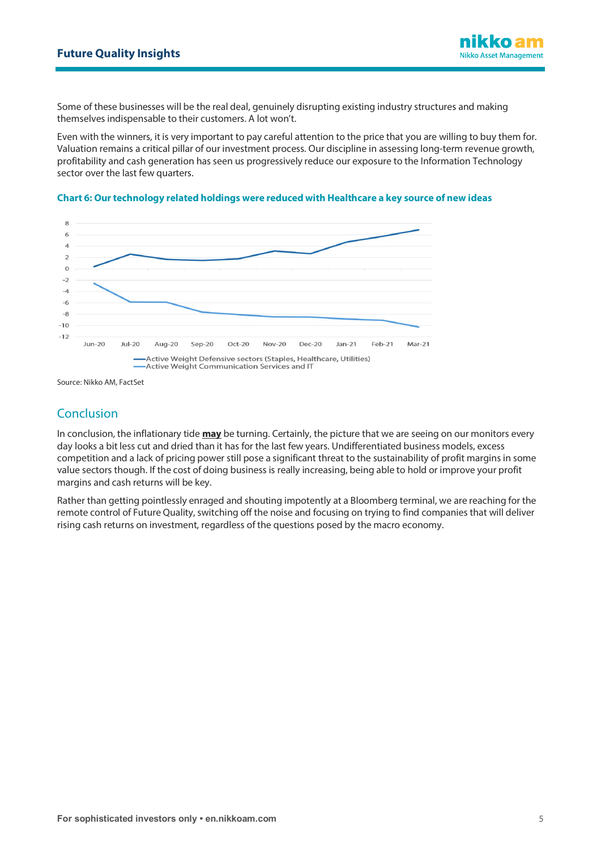Some of these businesses will be the real deal, genuinely disrupting existing industry structures and making themselves indispensable to their customers. A lot won't.

Even with the winners, it is very important to pay careful attention to the price that you are willing to buy them for. Valuation remains a critical pillar of our investment process. Our discipline in assessing long-term revenue growth, profitability and cash generation has seen us progressively reduce our exposure to the Information Technology sector over the last few quarters.



### **Chart 6: Our technology related holdings were reduced with Healthcare a key source of new ideas**

Source: Nikko AM, FactSet

# Conclusion

In conclusion, the inflationary tide **may** be turning. Certainly, the picture that we are seeing on our monitors every day looks a bit less cut and dried than it has for the last few years. Undifferentiated business models, excess competition and a lack of pricing power still pose a significant threat to the sustainability of profit margins in some value sectors though. If the cost of doing business is really increasing, being able to hold or improve your profit margins and cash returns will be key.

Rather than getting pointlessly enraged and shouting impotently at a Bloomberg terminal, we are reaching for the remote control of Future Quality, switching off the noise and focusing on trying to find companies that will deliver rising cash returns on investment, regardless of the questions posed by the macro economy.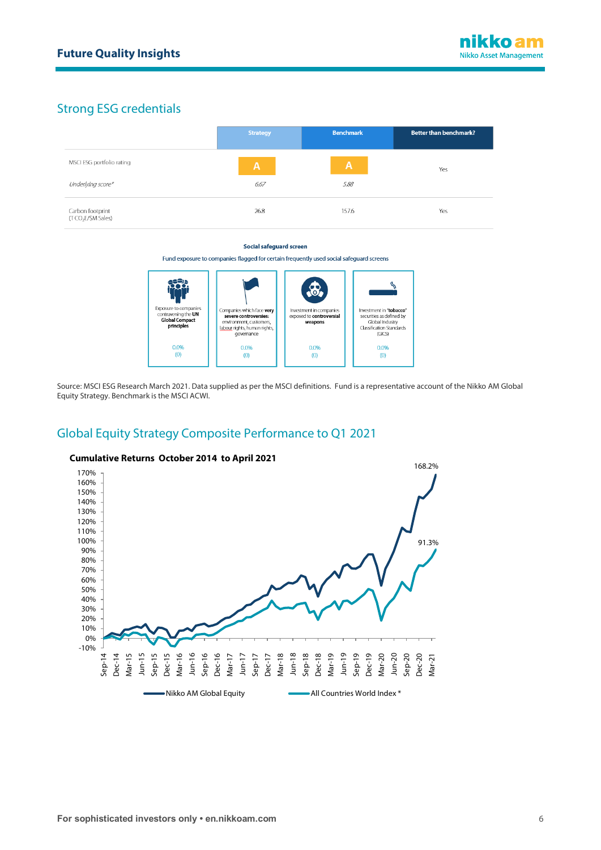# Strong ESG credentials

|                                                    | <b>Strategy</b> | <b>Benchmark</b> | <b>Better than benchmark?</b> |
|----------------------------------------------------|-----------------|------------------|-------------------------------|
| MSCI ESG portfolio rating                          | $\overline{A}$  | $\mathsf{A}$     | Yes                           |
| Underlying score*                                  | 6.67            | 5.88             |                               |
| Carbon footprint<br>(TCO <sub>2</sub> E/\$M Sales) | 26.8            | 157.6            | Yes                           |

#### Social safeguard screen

Fund exposure to companies flagged for certain frequently used social safeguard screens



Source: MSCI ESG Research March 2021. Data supplied as per the MSCI definitions. Fund is a representative account of the Nikko AM Global Equity Strategy. Benchmark is the MSCI ACWI.

# Global Equity Strategy Composite Performance to Q1 2021



### **Cumulative Returns October 2014 to April 2021**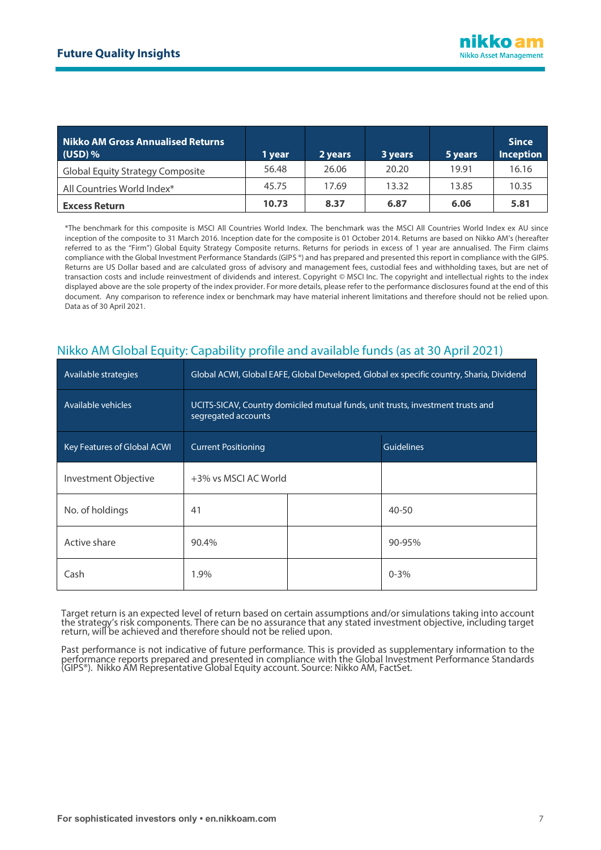| <b>Nikko AM Gross Annualised Returns</b><br>$(USD)$ % | 1 year | 2 years | 3 years | 5 years | <b>Since</b><br><b>Inception</b> |
|-------------------------------------------------------|--------|---------|---------|---------|----------------------------------|
| <b>Global Equity Strategy Composite</b>               | 56.48  | 26.06   | 20.20   | 19.91   | 16.16                            |
| All Countries World Index*                            | 45.75  | 17.69   | 13.32   | 13.85   | 10.35                            |
| <b>Excess Return</b>                                  | 10.73  | 8.37    | 6.87    | 6.06    | 5.81                             |

\*The benchmark for this composite is MSCI All Countries World Index. The benchmark was the MSCI All Countries World Index ex AU since inception of the composite to 31 March 2016. Inception date for the composite is 01 October 2014. Returns are based on Nikko AM's (hereafter referred to as the "Firm") Global Equity Strategy Composite returns. Returns for periods in excess of 1 year are annualised. The Firm claims compliance with the Global Investment Performance Standards (GIPS ®) and has prepared and presented this report in compliance with the GIPS. Returns are US Dollar based and are calculated gross of advisory and management fees, custodial fees and withholding taxes, but are net of transaction costs and include reinvestment of dividends and interest. Copyright © MSCI Inc. The copyright and intellectual rights to the index displayed above are the sole property of the index provider. For more details, please refer to the performance disclosures found at the end of this document. Any comparison to reference index or benchmark may have material inherent limitations and therefore should not be relied upon. Data as of 30 April 2021.

| Available strategies        | Global ACWI, Global EAFE, Global Developed, Global ex specific country, Sharia, Dividend               |  |                   |  |  |
|-----------------------------|--------------------------------------------------------------------------------------------------------|--|-------------------|--|--|
| Available vehicles          | UCITS-SICAV, Country domiciled mutual funds, unit trusts, investment trusts and<br>segregated accounts |  |                   |  |  |
| Key Features of Global ACWI | <b>Current Positioning</b>                                                                             |  | <b>Guidelines</b> |  |  |
| Investment Objective        | +3% vs MSCI AC World                                                                                   |  |                   |  |  |
| No. of holdings             | 41                                                                                                     |  | $40 - 50$         |  |  |
| Active share                | 90.4%                                                                                                  |  | 90-95%            |  |  |
| Cash                        | 1.9%                                                                                                   |  | $0 - 3%$          |  |  |

# Nikko AM Global Equity: Capability profile and available funds (as at 30 April 2021)

Target return is an expected level of return based on certain assumptions and/or simulations taking into account the strategy's risk components. There can be no assurance that any stated investment objective, including target return, will be achieved and therefore should not be relied upon.

Past performance is not indicative of future performance. This is provided as supplementary information to the performance reports prepared and presented in compliance with the Global Investment Performance Standards (GIPS®). Nikko AM Representative Global Equity account. Source: Nikko AM, FactSet.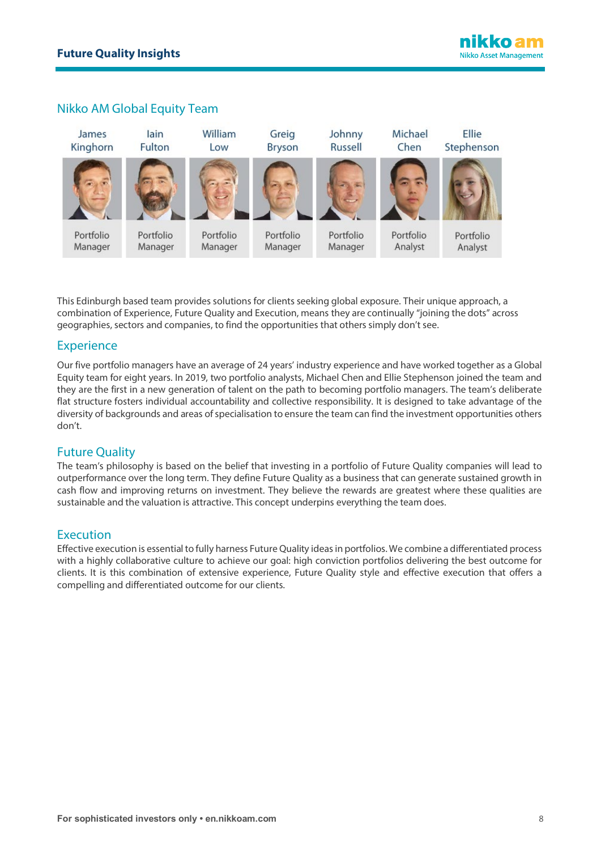# Nikko AM Global Equity Team



This Edinburgh based team provides solutions for clients seeking global exposure. Their unique approach, a combination of Experience, Future Quality and Execution, means they are continually "joining the dots" across geographies, sectors and companies, to find the opportunities that others simply don't see.

### **Experience**

Our five portfolio managers have an average of 24 years' industry experience and have worked together as a Global Equity team for eight years. In 2019, two portfolio analysts, Michael Chen and Ellie Stephenson joined the team and they are the first in a new generation of talent on the path to becoming portfolio managers. The team's deliberate flat structure fosters individual accountability and collective responsibility. It is designed to take advantage of the diversity of backgrounds and areas of specialisation to ensure the team can find the investment opportunities others don't.

## Future Quality

The team's philosophy is based on the belief that investing in a portfolio of Future Quality companies will lead to outperformance over the long term. They define Future Quality as a business that can generate sustained growth in cash flow and improving returns on investment. They believe the rewards are greatest where these qualities are sustainable and the valuation is attractive. This concept underpins everything the team does.

### Execution

Effective execution is essential to fully harness Future Quality ideas in portfolios. We combine a differentiated process with a highly collaborative culture to achieve our goal: high conviction portfolios delivering the best outcome for clients. It is this combination of extensive experience, Future Quality style and effective execution that offers a compelling and differentiated outcome for our clients.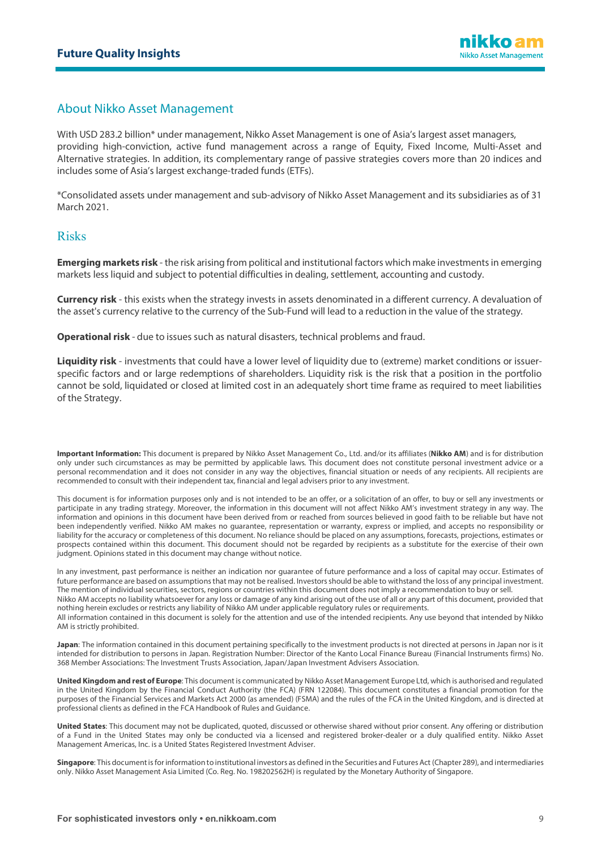## About Nikko Asset Management

With USD 283.2 billion\* under management, Nikko Asset Management is one of Asia's largest asset managers, providing high-conviction, active fund management across a range of Equity, Fixed Income, Multi-Asset and Alternative strategies. In addition, its complementary range of passive strategies covers more than 20 indices and includes some of Asia's largest exchange-traded funds (ETFs).

\*Consolidated assets under management and sub-advisory of Nikko Asset Management and its subsidiaries as of 31 March 2021.

### Risks

**Emerging markets risk** - the risk arising from political and institutional factors which make investments in emerging markets less liquid and subject to potential difficulties in dealing, settlement, accounting and custody.

**Currency risk** - this exists when the strategy invests in assets denominated in a different currency. A devaluation of the asset's currency relative to the currency of the Sub-Fund will lead to a reduction in the value of the strategy.

**Operational risk** - due to issues such as natural disasters, technical problems and fraud.

**Liquidity risk** - investments that could have a lower level of liquidity due to (extreme) market conditions or issuerspecific factors and or large redemptions of shareholders. Liquidity risk is the risk that a position in the portfolio cannot be sold, liquidated or closed at limited cost in an adequately short time frame as required to meet liabilities of the Strategy.

**Important Information:** This document is prepared by Nikko Asset Management Co., Ltd. and/or its affiliates (**Nikko AM**) and is for distribution only under such circumstances as may be permitted by applicable laws. This document does not constitute personal investment advice or a personal recommendation and it does not consider in any way the objectives, financial situation or needs of any recipients. All recipients are recommended to consult with their independent tax, financial and legal advisers prior to any investment.

This document is for information purposes only and is not intended to be an offer, or a solicitation of an offer, to buy or sell any investments or participate in any trading strategy. Moreover, the information in this document will not affect Nikko AM's investment strategy in any way. The information and opinions in this document have been derived from or reached from sources believed in good faith to be reliable but have not been independently verified. Nikko AM makes no guarantee, representation or warranty, express or implied, and accepts no responsibility or liability for the accuracy or completeness of this document. No reliance should be placed on any assumptions, forecasts, projections, estimates or prospects contained within this document. This document should not be regarded by recipients as a substitute for the exercise of their own judgment. Opinions stated in this document may change without notice.

In any investment, past performance is neither an indication nor guarantee of future performance and a loss of capital may occur. Estimates of future performance are based on assumptions that may not be realised. Investors should be able to withstand the loss of any principal investment. The mention of individual securities, sectors, regions or countries within this document does not imply a recommendation to buy or sell. Nikko AM accepts no liability whatsoever for any loss or damage of any kind arising out of the use of all or any part of this document, provided that nothing herein excludes or restricts any liability of Nikko AM under applicable regulatory rules or requirements. All information contained in this document is solely for the attention and use of the intended recipients. Any use beyond that intended by Nikko AM is strictly prohibited.

**Japan**: The information contained in this document pertaining specifically to the investment products is not directed at persons in Japan nor is it intended for distribution to persons in Japan. Registration Number: Director of the Kanto Local Finance Bureau (Financial Instruments firms) No. 368 Member Associations: The Investment Trusts Association, Japan/Japan Investment Advisers Association.

**United Kingdom and rest of Europe**: This document is communicated by Nikko Asset Management Europe Ltd, which is authorised and regulated in the United Kingdom by the Financial Conduct Authority (the FCA) (FRN 122084). This document constitutes a financial promotion for the purposes of the Financial Services and Markets Act 2000 (as amended) (FSMA) and the rules of the FCA in the United Kingdom, and is directed at professional clients as defined in the FCA Handbook of Rules and Guidance.

**United States**: This document may not be duplicated, quoted, discussed or otherwise shared without prior consent. Any offering or distribution of a Fund in the United States may only be conducted via a licensed and registered broker-dealer or a duly qualified entity. Nikko Asset Management Americas, Inc. is a United States Registered Investment Adviser.

**Singapore**: This document is for information to institutional investors as defined in the Securities and Futures Act (Chapter 289), and intermediaries only. Nikko Asset Management Asia Limited (Co. Reg. No. 198202562H) is regulated by the Monetary Authority of Singapore.